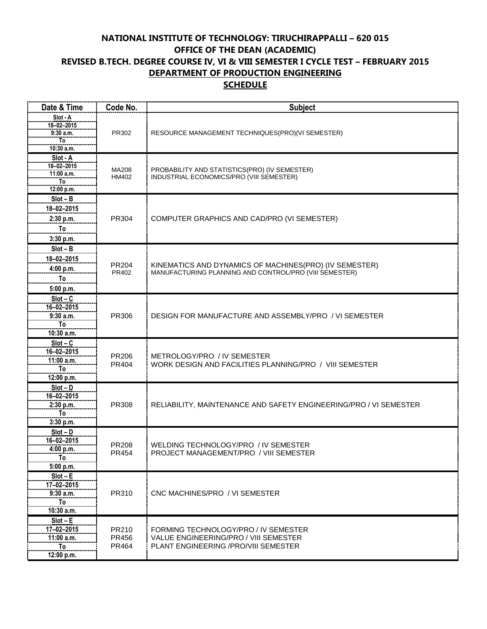## **NATIONAL INSTITUTE OF TECHNOLOGY: TIRUCHIRAPPALLI – 620 015 OFFICE OF THE DEAN (ACADEMIC) REVISED B.TECH. DEGREE COURSE IV, VI & VIII SEMESTER I CYCLE TEST – FEBRUARY 2015 DEPARTMENT OF PRODUCTION ENGINEERING SCHEDULE**

| Date & Time                  | Code No. | <b>Subject</b>                                                    |
|------------------------------|----------|-------------------------------------------------------------------|
| Slot - A                     |          |                                                                   |
| $18 - 02 - 2015$<br>9:30a.m. | PR302    | RESOURCE MANAGEMENT TECHNIQUES(PRO)(VI SEMESTER)                  |
| To                           |          |                                                                   |
| 10:30 a.m.                   |          |                                                                   |
| Slot - A                     |          |                                                                   |
| 18-02-2015                   | MA208    | PROBABILITY AND STATISTICS(PRO) (IV SEMESTER)                     |
| 11:00 a.m.                   | HM402    | INDUSTRIAL ECONOMICS/PRO (VIII SEMESTER)                          |
| To<br>12:00 p.m.             |          |                                                                   |
| $Slot - B$                   |          |                                                                   |
| 18-02-2015                   |          |                                                                   |
| 2:30 p.m.                    | PR304    | COMPUTER GRAPHICS AND CAD/PRO (VI SEMESTER)                       |
| To                           |          |                                                                   |
|                              |          |                                                                   |
| 3:30 p.m.                    |          |                                                                   |
| $Slot - B$                   |          | KINEMATICS AND DYNAMICS OF MACHINES(PRO) (IV SEMESTER)            |
| 18-02-2015                   | PR204    |                                                                   |
| 4:00 p.m.                    | PR402    | MANUFACTURING PLANNING AND CONTROL/PRO (VIII SEMESTER)            |
| To                           |          |                                                                   |
| 5:00 p.m.                    |          |                                                                   |
| $Slot - C$                   |          |                                                                   |
| 16-02-2015                   |          |                                                                   |
| 9:30 a.m.                    | PR306    | DESIGN FOR MANUFACTURE AND ASSEMBLY/PRO / VI SEMESTER             |
| To                           |          |                                                                   |
| 10:30 a.m.                   |          |                                                                   |
| $Slot - C$<br>16-02-2015     |          |                                                                   |
| 11:00 a.m.                   | PR206    | METROLOGY/PRO / IV SEMESTER                                       |
| To                           | PR404    | WORK DESIGN AND FACILITIES PLANNING/PRO / VIII SEMESTER           |
| 12:00 p.m.                   |          |                                                                   |
| $Slot - D$                   |          |                                                                   |
| 16-02-2015                   |          |                                                                   |
| 2:30 p.m.                    | PR308    | RELIABILITY, MAINTENANCE AND SAFETY ENGINEERING/PRO / VI SEMESTER |
| To                           |          |                                                                   |
| 3:30 p.m.                    |          |                                                                   |
| $Slot - D$                   |          |                                                                   |
| 16-02-2015                   | PR208    | WELDING TECHNOLOGY/PRO / IV SEMESTER                              |
| 4:00 p.m.<br>To              | PR454    | PROJECT MANAGEMENT/PRO / VIII SEMESTER                            |
| 5:00 p.m.                    |          |                                                                   |
| $Slot - E$                   |          |                                                                   |
| 17-02-2015                   |          |                                                                   |
| 9:30 a.m.                    | PR310    | CNC MACHINES/PRO / VI SEMESTER                                    |
| To                           |          |                                                                   |
| 10:30 a.m.                   |          |                                                                   |
| $Slot - E$                   |          |                                                                   |
| 17-02-2015                   | PR210    | FORMING TECHNOLOGY/PRO / IV SEMESTER                              |
| 11:00 a.m.                   | PR456    | VALUE ENGINEERING/PRO / VIII SEMESTER                             |
| To                           | PR464    | PLANT ENGINEERING / PRO/VIII SEMESTER                             |
| 12:00 p.m.                   |          |                                                                   |